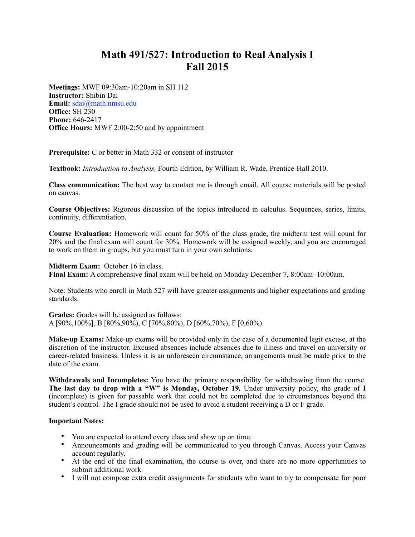## **Math 491/527: Introduction to Real Analysis I Fall 2015**

**Meetings:** MWF 09:30am-10:20am in SH 112 **Instructor:** Shibin Dai **Email:** [sdai@math.nmsu.edu](mailto:sdai@math.nmsu.edu) **Office:** SH 230 **Phone:** 646-2417 **Office Hours:** MWF 2:00-2:50 and by appointment

**Prerequisite:** C or better in Math 332 or consent of instructor

**Textbook:** *Introduction to Analysis,* Fourth Edition, by William R. Wade, Prentice-Hall 2010.

**Class communication:** The best way to contact me is through email. All course materials will be posted on canvas.

**Course Objectives:** Rigorous discussion of the topics introduced in calculus. Sequences, series, limits, continuity, differentiation.

**Course Evaluation:** Homework will count for 50% of the class grade, the midterm test will count for 20% and the final exam will count for 30%. Homework will be assigned weekly, and you are encouraged to work on them in groups, but you must turn in your own solutions.

## **Midterm Exam:** October 16 in class.

**Final Exam:** A comprehensive final exam will be held on Monday December 7, 8:00am–10:00am.

Note: Students who enroll in Math 527 will have greater assignments and higher expectations and grading standards.

**Grades:** Grades will be assigned as follows:

A [90%,100%], B [80%,90%), C [70%,80%), D [60%,70%), F [0,60%)

**Make-up Exams:** Make-up exams will be provided only in the case of a documented legit excuse, at the discretion of the instructor. Excused absences include absences due to illness and travel on university or career-related business. Unless it is an unforeseen circumstance, arrangements must be made prior to the date of the exam.

**Withdrawals and Incompletes:** You have the primary responsibility for withdrawing from the course. The last day to drop with a "W" is Monday, October 19. Under university policy, the grade of I (incomplete) is given for passable work that could not be completed due to circumstances beyond the student's control. The I grade should not be used to avoid a student receiving a D or F grade.

## **Important Notes:**

- You are expected to attend every class and show up on time.
- Announcements and grading will be communicated to you through Canvas. Access your Canvas account regularly.
- At the end of the final examination, the course is over, and there are no more opportunities to submit additional work.
- I will not compose extra credit assignments for students who want to try to compensate for poor